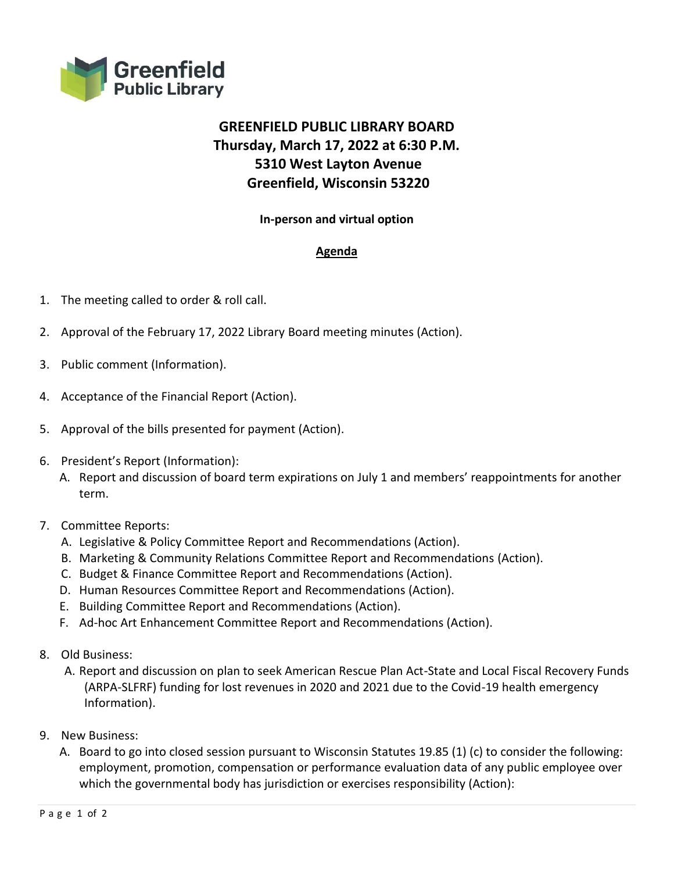

# **GREENFIELD PUBLIC LIBRARY BOARD Thursday, March 17, 2022 at 6:30 P.M. 5310 West Layton Avenue Greenfield, Wisconsin 53220**

## **In-person and virtual option**

## **Agenda**

- 1. The meeting called to order & roll call.
- 2. Approval of the February 17, 2022 Library Board meeting minutes (Action).
- 3. Public comment (Information).
- 4. Acceptance of the Financial Report (Action).
- 5. Approval of the bills presented for payment (Action).
- 6. President's Report (Information):
	- A. Report and discussion of board term expirations on July 1 and members' reappointments for another term.

## 7. Committee Reports:

- A. Legislative & Policy Committee Report and Recommendations (Action).
- B. Marketing & Community Relations Committee Report and Recommendations (Action).
- C. Budget & Finance Committee Report and Recommendations (Action).
- D. Human Resources Committee Report and Recommendations (Action).
- E. Building Committee Report and Recommendations (Action).
- F. Ad-hoc Art Enhancement Committee Report and Recommendations (Action).
- 8. Old Business:
	- A. Report and discussion on plan to seek American Rescue Plan Act-State and Local Fiscal Recovery Funds (ARPA-SLFRF) funding for lost revenues in 2020 and 2021 due to the Covid-19 health emergency Information).
- 9. New Business:
	- A. Board to go into closed session pursuant to Wisconsin Statutes 19.85 (1) (c) to consider the following: employment, promotion, compensation or performance evaluation data of any public employee over which the governmental body has jurisdiction or exercises responsibility (Action):